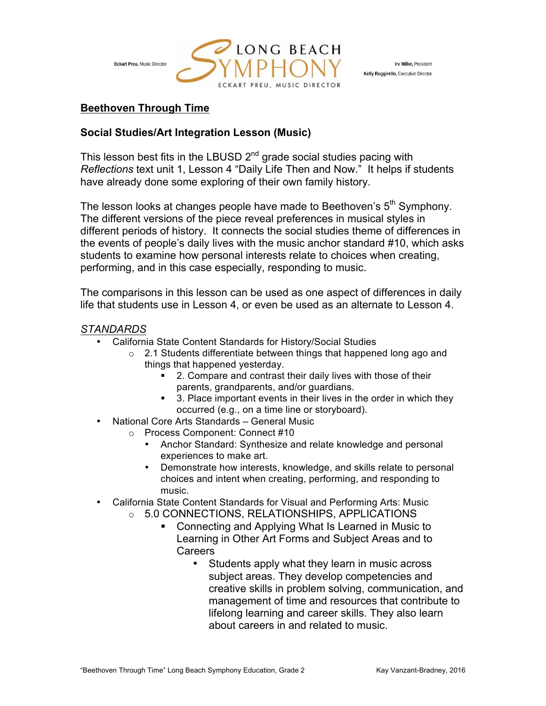

Irv Miller, President Kelly Ruggirello, Executive Director

# **Beethoven Through Time**

### **Social Studies/Art Integration Lesson (Music)**

This lesson best fits in the LBUSD  $2^{nd}$  grade social studies pacing with *Reflections* text unit 1, Lesson 4 "Daily Life Then and Now." It helps if students have already done some exploring of their own family history.

The lesson looks at changes people have made to Beethoven's  $5<sup>th</sup>$  Symphony. The different versions of the piece reveal preferences in musical styles in different periods of history. It connects the social studies theme of differences in the events of people's daily lives with the music anchor standard #10, which asks students to examine how personal interests relate to choices when creating, performing, and in this case especially, responding to music.

The comparisons in this lesson can be used as one aspect of differences in daily life that students use in Lesson 4, or even be used as an alternate to Lesson 4.

## *STANDARDS*

- California State Content Standards for History/Social Studies
	- o 2.1 Students differentiate between things that happened long ago and things that happened yesterday.
		- 2. Compare and contrast their daily lives with those of their parents, grandparents, and/or guardians.
		- 3. Place important events in their lives in the order in which they occurred (e.g., on a time line or storyboard).
- National Core Arts Standards General Music
	- o Process Component: Connect #10
		- Anchor Standard: Synthesize and relate knowledge and personal experiences to make art.
		- Demonstrate how interests, knowledge, and skills relate to personal choices and intent when creating, performing, and responding to music.
- California State Content Standards for Visual and Performing Arts: Music
	- o 5.0 CONNECTIONS, RELATIONSHIPS, APPLICATIONS
		- Connecting and Applying What Is Learned in Music to Learning in Other Art Forms and Subject Areas and to Careers
			- Students apply what they learn in music across subject areas. They develop competencies and creative skills in problem solving, communication, and management of time and resources that contribute to lifelong learning and career skills. They also learn about careers in and related to music.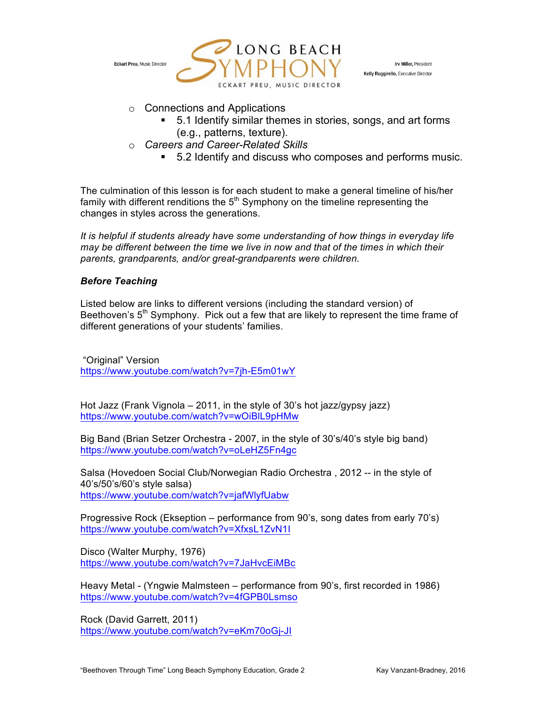

Irv Miller, President Kelly Ruggirello, Executive Director

- o Connections and Applications
	- § 5.1 Identify similar themes in stories, songs, and art forms (e.g., patterns, texture).
- o *Careers and Career-Related Skills* 
	- 5.2 Identify and discuss who composes and performs music.

The culmination of this lesson is for each student to make a general timeline of his/her family with different renditions the  $5<sup>th</sup>$  Symphony on the timeline representing the changes in styles across the generations.

*It is helpful if students already have some understanding of how things in everyday life may be different between the time we live in now and that of the times in which their parents, grandparents, and/or great-grandparents were children.* 

### *Before Teaching*

Listed below are links to different versions (including the standard version) of Beethoven's 5<sup>th</sup> Symphony. Pick out a few that are likely to represent the time frame of different generations of your students' families.

"Original" Version https://www.youtube.com/watch?v=7jh-E5m01wY

Hot Jazz (Frank Vignola – 2011, in the style of 30's hot jazz/gypsy jazz) https://www.youtube.com/watch?v=wOiBlL9pHMw

Big Band (Brian Setzer Orchestra - 2007, in the style of 30's/40's style big band) https://www.youtube.com/watch?v=oLeHZ5Fn4gc

Salsa (Hovedoen Social Club/Norwegian Radio Orchestra , 2012 -- in the style of 40's/50's/60's style salsa) https://www.youtube.com/watch?v=jafWlyfUabw

Progressive Rock (Ekseption – performance from 90's, song dates from early 70's) https://www.youtube.com/watch?v=XfxsL1ZvN1I

Disco (Walter Murphy, 1976) https://www.youtube.com/watch?v=7JaHvcEiMBc

Heavy Metal - (Yngwie Malmsteen – performance from 90's, first recorded in 1986) https://www.youtube.com/watch?v=4fGPB0Lsmso

Rock (David Garrett, 2011) https://www.youtube.com/watch?v=eKm70oGj-JI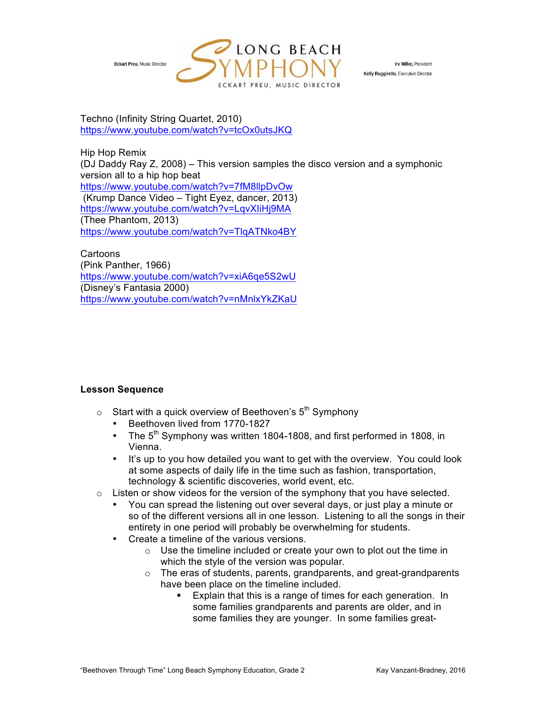

Irv Miller, President Kelly Ruggirello, Executive Director

Techno (Infinity String Quartet, 2010) https://www.youtube.com/watch?v=tcOx0utsJKQ

Hip Hop Remix (DJ Daddy Ray Z, 2008) – This version samples the disco version and a symphonic version all to a hip hop beat https://www.youtube.com/watch?v=7fM8llpDvOw (Krump Dance Video – Tight Eyez, dancer, 2013) https://www.youtube.com/watch?v=LqvXIiHj9MA (Thee Phantom, 2013) https://www.youtube.com/watch?v=TlqATNko4BY

Cartoons (Pink Panther, 1966) https://www.youtube.com/watch?v=xiA6qe5S2wU (Disney's Fantasia 2000) https://www.youtube.com/watch?v=nMnlxYkZKaU

### **Lesson Sequence**

- $\circ$  Start with a quick overview of Beethoven's  $5<sup>th</sup>$  Symphony
	- Beethoven lived from 1770-1827
	- The  $5<sup>th</sup>$  Symphony was written 1804-1808, and first performed in 1808, in Vienna.
	- It's up to you how detailed you want to get with the overview. You could look at some aspects of daily life in the time such as fashion, transportation, technology & scientific discoveries, world event, etc.
- $\circ$  Listen or show videos for the version of the symphony that you have selected.
	- You can spread the listening out over several days, or just play a minute or so of the different versions all in one lesson. Listening to all the songs in their entirety in one period will probably be overwhelming for students.
	- Create a timeline of the various versions.
		- o Use the timeline included or create your own to plot out the time in which the style of the version was popular.
		- o The eras of students, parents, grandparents, and great-grandparents have been place on the timeline included.
			- Explain that this is a range of times for each generation. In some families grandparents and parents are older, and in some families they are younger. In some families great-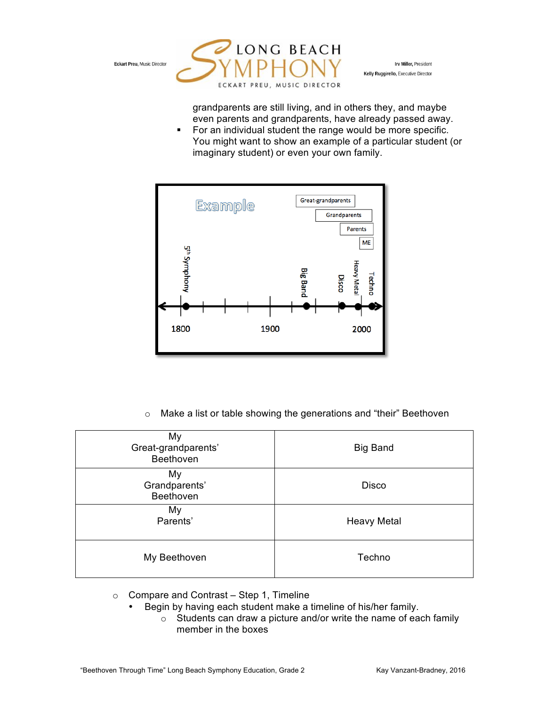

Irv Miller, President Kelly Ruggirello, Executive Director

grandparents are still living, and in others they, and maybe even parents and grandparents, have already passed away.

■ For an individual student the range would be more specific. You might want to show an example of a particular student (or imaginary student) or even your own family.



o Make a list or table showing the generations and "their" Beethoven

| My<br>Great-grandparents'<br>Beethoven | <b>Big Band</b>    |  |  |
|----------------------------------------|--------------------|--|--|
| My<br>Grandparents'<br>Beethoven       | <b>Disco</b>       |  |  |
| My<br>Parents'                         | <b>Heavy Metal</b> |  |  |
| My Beethoven                           | Techno             |  |  |

- $\circ$  Compare and Contrast Step 1, Timeline
	- Begin by having each student make a timeline of his/her family.
		- o Students can draw a picture and/or write the name of each family member in the boxes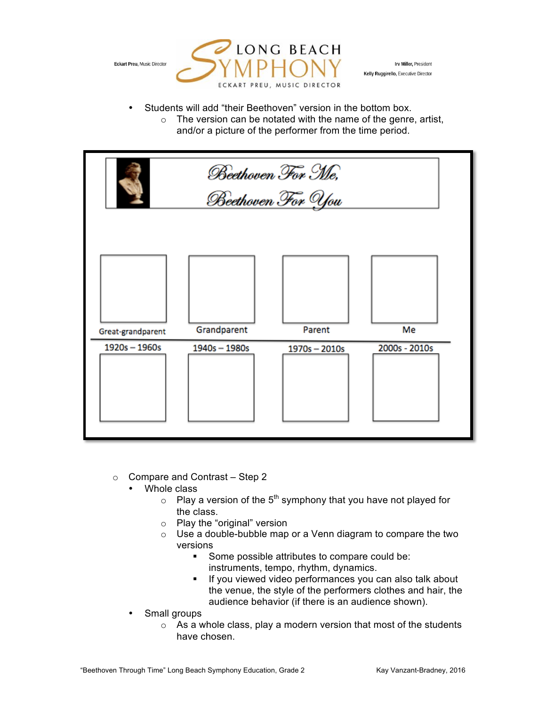

Irv Miller, President Kelly Ruggirello, Executive Director

- Students will add "their Beethoven" version in the bottom box.
	- $\circ$  The version can be notated with the name of the genre, artist, and/or a picture of the performer from the time period.

| Beethoven For Me,<br>Beethoven For You |             |             |               |
|----------------------------------------|-------------|-------------|---------------|
| Great-grandparent                      | Grandparent | Parent      | Me            |
| $1920s - 1960s$                        | 1940s-1980s | 1970s-2010s | 2000s - 2010s |

- $\circ$  Compare and Contrast Step 2
	- Whole class
		- $\circ$  Play a version of the 5<sup>th</sup> symphony that you have not played for the class.
		- o Play the "original" version
		- o Use a double-bubble map or a Venn diagram to compare the two versions
			- Some possible attributes to compare could be: instruments, tempo, rhythm, dynamics.
			- **•** If you viewed video performances you can also talk about the venue, the style of the performers clothes and hair, the audience behavior (if there is an audience shown).
	- Small groups
		- $\circ$  As a whole class, play a modern version that most of the students have chosen.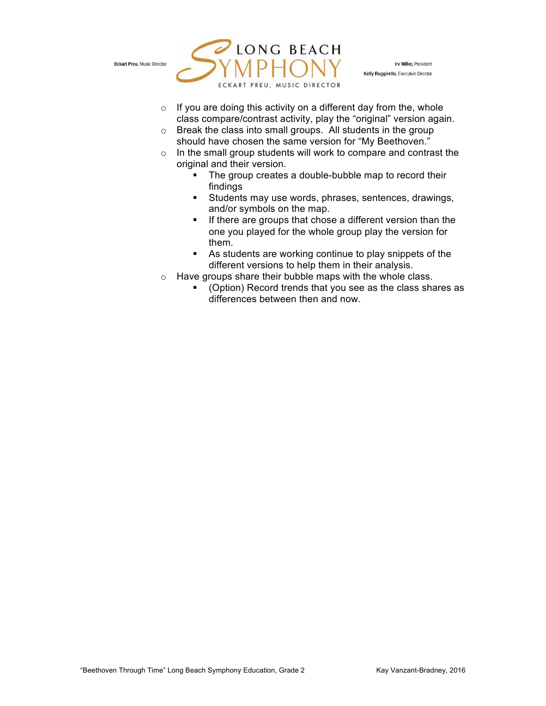

Irv Miller, President Kelly Ruggirello, Executive Director

- $\circ$  If you are doing this activity on a different day from the, whole class compare/contrast activity, play the "original" version again.
- o Break the class into small groups. All students in the group should have chosen the same version for "My Beethoven."
- $\circ$  In the small group students will work to compare and contrast the original and their version.
	- The group creates a double-bubble map to record their findings
	- Students may use words, phrases, sentences, drawings, and/or symbols on the map.
	- **•** If there are groups that chose a different version than the one you played for the whole group play the version for them.
	- As students are working continue to play snippets of the different versions to help them in their analysis.
- o Have groups share their bubble maps with the whole class.
	- § (Option) Record trends that you see as the class shares as differences between then and now.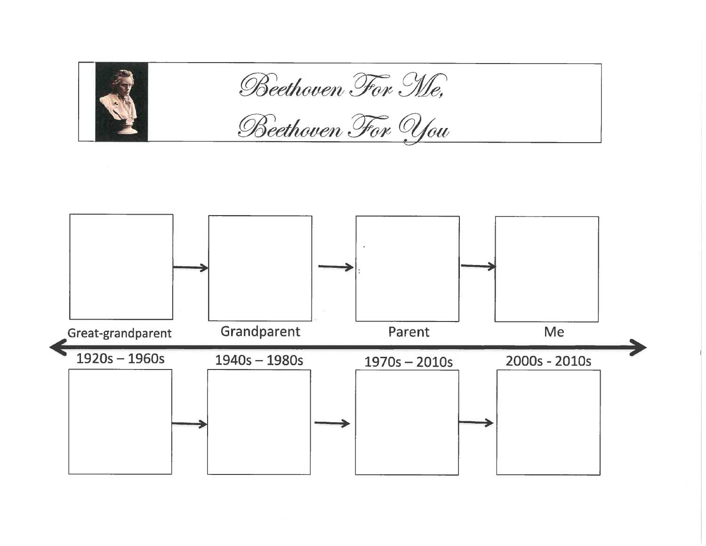

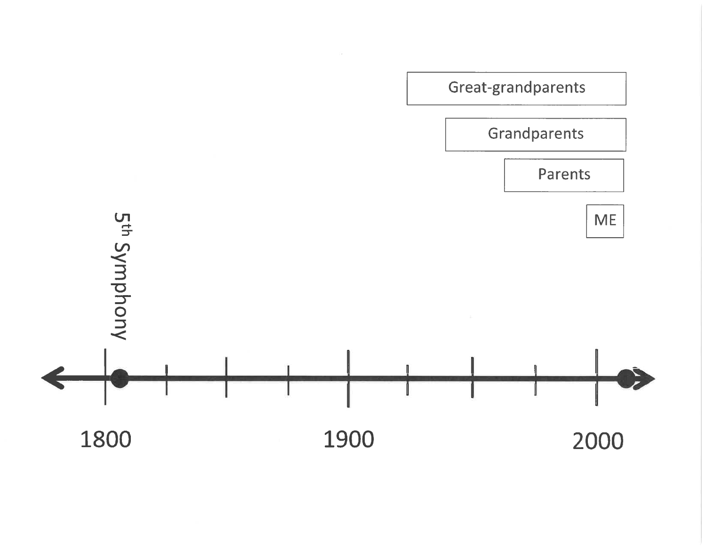